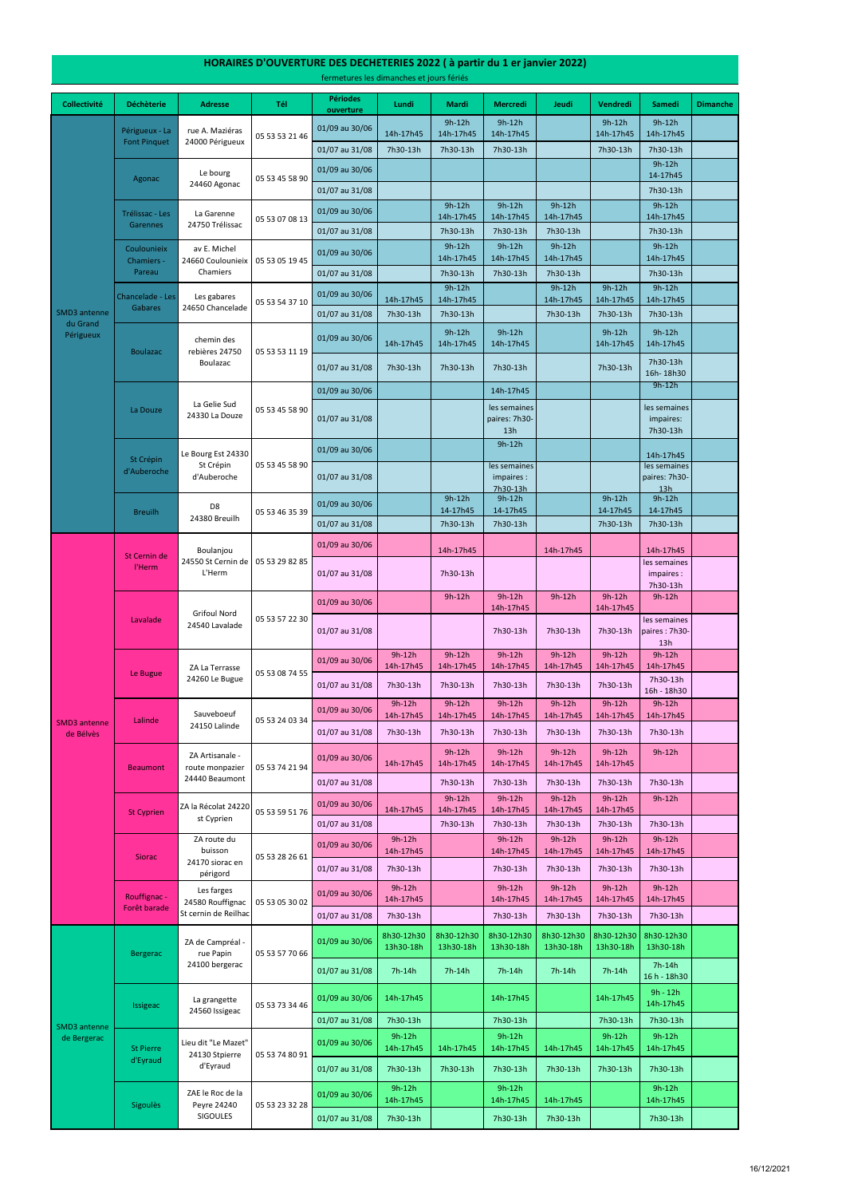#### **Collectivité Déchèterie Adresse Tél Périodes ouverture Lundi Mardi Mercredi Jeudi Vendredi Samedi Dimanche** 01/09 au 30/06  $\Big|$  14h-17h45 9h-12h 14h-17h45 9h-12h 14h-17h45 9h-12h 14h-17h45 9h-12h 14h-17h45 01/07 au 31/08 7h30-13h 7h30-13h 7h30-13h 7h30-13h 7h30-13h 01/09 au 30/06  $\begin{vmatrix} 0 & 0 & 0 \\ 0 & 0 & 0 \\ 0 & 0 & 0 \end{vmatrix}$  9h-12h 14-17h45 01/07 au 31/08 **7h30-13h** 01/09 au 30/06 9h-12h 14h-17h45 9h-12h 14h-17h45 9h-12h 14h-17h45 9h-12h 14h-17h45 01/07 au 31/08 | 7h30-13h | 7h30-13h | 7h30-13h | 7h30-13h 01/09 au 30/06 9h-12h 14h-17h45 9h-12h 14h-17h45 9h-12h 14h-17h45 9h-12h 14h-17h45 01/07 au 31/08 7h30-13h 7h30-13h 7h30-13h 7h30-13h 7h30-13h 01/09 au 30/06 14h-17h45 9h-12h 14h-17h45 9h-12h 14h-17h45 9h-12h 14h-17h45 9h-12h 14h-17h45 01/07 au 31/08 7h30-13h 7h30-13h 7h30-13h 7h30-13h 7h30-13h 7h30-13h 01/09 au 30/06 14h-17h45 9h-12h 14h-17h45 9h-12h 14h-17h45 9h-12h 14h-17h45 9h-12h 14h-17h45 01/07 au 31/08 7h30-13h 7h30-13h 7h30-13h 7h30-13h 7h30-13h 16h- 18h30 01/09 au 30/06 **14h-17h45** 14h-17h45 14h-17h45 14h-17h45 14h-17h45 14h-17h45 14h-17h45 14h-17h45 14h 01/07 au 31/08 les semaines paires: 7h30- 13h les semaines impaires: 7h30-13h 01/09 au 30/06 9h-12h 14h-17h45 01/07 au 31/08 les semaines impaires : 7h30-13h les semaines paires: 7h30- 13h 01/09 au 30/06 9h-12h 14-17h45 9h-12h 14-17h45 9h-12h 14-17h45 9h-12h 14-17h45 01/07 au 31/08 | 7h30-13h | 7h30-13h | 7h30-13h | 7h30-13h | 7h30-13h 01/09 au 30/06 **14h-17h45 14h-17h45** 14h-17h45 14h-17h45 14h-17h45 01/07 au 31/08 7h30-13h les semaines impaires : 7h30-13h 01/09 au 30/06 9h-12h 9h-12h 9h-12h 14h-17h45 9h-12h 9h-12h 14h-17h45 9h-12h 01/07 au 31/08 7h30-13h 7h30-13h 7h30-13h les semaines paires : 7h30- 13h 01/09 au 30/06 9h-12h 14h-17h45 9h-12h 14h-17h45 9h-12h 14h-17h45 9h-12h 14h-17h45 9h-12h 14h-17h45 9h-12h 14h-17h45 01/07 au 31/08 7h30-13h 7h30-13h 7h30-13h 7h30-13h 7h30-13h 7h30-13h 16h - 18h30 01/09 au 30/06 9h-12h 14h-17h45 9h-12h 14h-17h45 9h-12h 14h-17h45 9h-12h 14h-17h45 9h-12h 14h-17h45 9h-12h 14h-17h45 01/07 au 31/08 7h30-13h 7h30-13h 7h30-13h 7h30-13h 7h30-13h 7h30-13h 01/09 au 30/06 14h-17h45 9h-12h 14h-17h45 9h-12h 14h-17h45 9h-12h 14h-17h45 9h-12h 14h-17h45 9h-12h 01/07 au 31/08 7h30-13h 7h30-13h 7h30-13h 7h30-13h 7h30-13h 01/09 au 30/06 14h-17h45 9h-12h 14h-17h45 9h-12h 14h-17h45 9h-12h 14h-17h45 9h-12h 14h-17h45 9h-12h 01/07 au 31/08 7h30-13h 7h30-13h 7h30-13h 7h30-13h 7h30-13h 01/09 au 30/06 9h-12h 14h-17h45 9h-12h 14h-17h45 9h-12h 14h-17h45 9h-12h 14h-17h45 9h-12h 14h-17h45 01/07 au 31/08 7h30-13h 7h30-13h 7h30-13h 7h30-13h 7h30-13h 05 53 28 26 61 Trélissac - Les Garennes La Garenne 24750 Trélissac SMD3 antenne de Bélvès 05 53 74 21 94 St Cyprien ZA la Récolat 24220 st Cyprien 05 53 59 51 76 Siorac ZA route du buisson 24170 siorac en périgord Sauveboeuf 24150 Lalinde 05 53 24 03 34 Beaumont ZA Artisanale route monpazier 24440 Beaumont SMD3 antenne du Grand Périgueux St Cernin de l'Herm Boulanjou 24550 St Cernin de L'Herm 05 53 29 82 85 05 53 05 19 45 Chancelade - Les Gabares 05 53 46 35 39 05 53 53 21 46 Agonac Le bourg 24460 Agonac 05 53 45 58 90 Le Bugue ZA La Terrasse 24260 Le Bugue 05 53 08 74 55 Lavalade Les gabares 24650 Chancelade St Crépin d'Auberoche Le Bourg Est 24330 St Crépin d'Auberoche 05 53 45 58 90 Périgueux - La Font Pinquet 05 53 07 08 13 Coulounieix Chamiers - Pareau av E. Michel 24660 Coulounieix Chamiers 05 53 54 37 10 Boulazac rue A. Maziéras 24000 Périgueux 05 53 53 11 19 Grifoul Nord 24540 Lavalade La Douze La Gelie Sud 24330 La Douze 05 53 45 58 90 Lalinde chemin des rebières 24750 Boulazac D8 24380 Breuilh 05 53 57 22 30 Breuilh

14h-17h45

9h-12h 14h-17h45

9h-12h 14h-17h45

9h-12h 14h-17h45

9h-12h 14h-17h45

01/09 au 30/06 9h-12h

### **HORAIRES D'OUVERTURE DES DECHETERIES 2022 ( à partir du 1 er janvier 2022)**

fermetures les dimanches et jours fériés

Rouffignac -

Les farges

|                                    | nuumgnuu              | 24580 Rouffignac<br>St cernin de Reilhac           | 05 53 05 30 02 |                | 14h-1/h45               |                         | 14h-1/h45               | 14h-1/h45               | 14h-17h45               | 14h-1/h45                |  |
|------------------------------------|-----------------------|----------------------------------------------------|----------------|----------------|-------------------------|-------------------------|-------------------------|-------------------------|-------------------------|--------------------------|--|
|                                    | Forêt barade          |                                                    |                | 01/07 au 31/08 | 7h30-13h                |                         | 7h30-13h                | 7h30-13h                | 7h30-13h                | 7h30-13h                 |  |
| <b>SMD3</b> antenne<br>de Bergerac | <b>Bergerac</b>       | ZA de Campréal -<br>rue Papin<br>24100 bergerac    | 05 53 57 70 66 | 01/09 au 30/06 | 8h30-12h30<br>13h30-18h | 8h30-12h30<br>13h30-18h | 8h30-12h30<br>13h30-18h | 8h30-12h30<br>13h30-18h | 8h30-12h30<br>13h30-18h | 8h30-12h30<br>13h30-18h  |  |
|                                    |                       |                                                    |                | 01/07 au 31/08 | $7h-14h$                | 7h-14h                  | $7h-14h$                | 7h-14h                  | 7h-14h                  | $7h-14h$<br>16 h - 18h30 |  |
|                                    | <b>Issigeac</b>       | La grangette<br>24560 Issigeac                     | 05 53 73 34 46 | 01/09 au 30/06 | 14h-17h45               |                         | 14h-17h45               |                         | 14h-17h45               | $9h - 12h$<br>14h-17h45  |  |
|                                    |                       |                                                    |                | 01/07 au 31/08 | 7h30-13h                |                         | 7h30-13h                |                         | 7h30-13h                | 7h30-13h                 |  |
|                                    | St Pierre<br>d'Eyraud | Lieu dit "Le Mazet"<br>24130 Stpierre<br>d'Eyraud  | 05 53 74 80 91 | 01/09 au 30/06 | $9h-12h$<br>14h-17h45   | 14h-17h45               | $9h-12h$<br>14h-17h45   | 14h-17h45               | $9h-12h$<br>14h-17h45   | $9h-12h$<br>14h-17h45    |  |
|                                    |                       |                                                    |                | 01/07 au 31/08 | 7h30-13h                | 7h30-13h                | 7h30-13h                | 7h30-13h                | 7h30-13h                | 7h30-13h                 |  |
|                                    | <b>Sigoules</b>       | ZAE le Roc de la<br>Peyre 24240<br><b>SIGOULES</b> | 05 53 23 32 28 | 01/09 au 30/06 | $9h-12h$<br>14h-17h45   |                         | $9h-12h$<br>14h-17h45   | 14h-17h45               |                         | $9h-12h$<br>14h-17h45    |  |
|                                    |                       |                                                    |                | 01/07 au 31/08 | 7h30-13h                |                         | 7h30-13h                | 7h30-13h                |                         | 7h30-13h                 |  |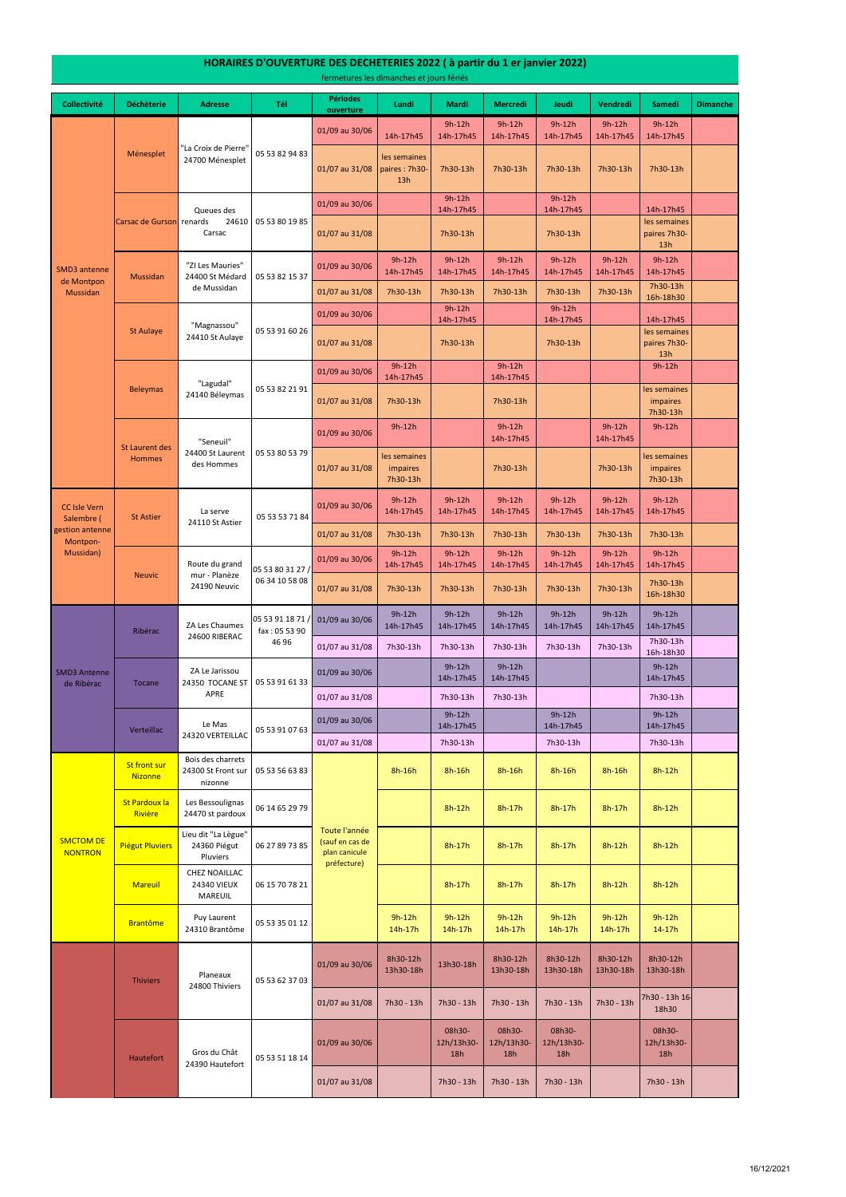# **HORAIRES D'OUVERTURE DES DECHETERIES 2022 ( à partir du 1 er janvier 2022)**

fermetures les dimanches et jours fériés

| <b>Collectivité</b>                | <b>Déchèterie</b>                      | <b>Adresse</b>                                                       | Tél                                                        | <b>Périodes</b><br>ouverture                                     | Lundi                                | Mardi                       | <b>Mercredi</b>             | Jeudi                       | Vendredi              | <b>Samedi</b>                        | <b>Dimanche</b> |
|------------------------------------|----------------------------------------|----------------------------------------------------------------------|------------------------------------------------------------|------------------------------------------------------------------|--------------------------------------|-----------------------------|-----------------------------|-----------------------------|-----------------------|--------------------------------------|-----------------|
|                                    | Ménesplet                              |                                                                      |                                                            | 01/09 au 30/06                                                   | 14h-17h45                            | 9h-12h<br>14h-17h45         | $9h-12h$<br>14h-17h45       | 9h-12h<br>14h-17h45         | $9h-12h$<br>14h-17h45 | $9h-12h$<br>14h-17h45                |                 |
|                                    |                                        | "La Croix de Pierre'<br>24700 Ménesplet                              | 05 53 82 94 83                                             | 01/07 au 31/08                                                   | les semaines<br>paires: 7h30<br>13h  | 7h30-13h                    | 7h30-13h                    | 7h30-13h                    | 7h30-13h              | 7h30-13h                             |                 |
|                                    |                                        | Queues des                                                           |                                                            | 01/09 au 30/06                                                   |                                      | $9h-12h$<br>14h-17h45       |                             | $9h-12h$<br>14h-17h45       |                       | 14h-17h45                            |                 |
|                                    | Carsac de Gurson renards               | 24610<br>Carsac                                                      | 05 53 80 19 85                                             | 01/07 au 31/08                                                   |                                      | 7h30-13h                    |                             | 7h30-13h                    |                       | les semaines<br>paires 7h30-<br>13h  |                 |
| <b>SMD3</b> antenne                | <b>Mussidan</b>                        | "ZI Les Mauries"<br>24400 St Médard<br>de Mussidan                   | 05 53 82 15 37                                             | 01/09 au 30/06                                                   | $9h-12h$<br>14h-17h45                | 9h-12h<br>14h-17h45         | $9h-12h$<br>14h-17h45       | $9h-12h$<br>14h-17h45       | $9h-12h$<br>14h-17h45 | $9h-12h$<br>14h-17h45                |                 |
| de Montpon<br><b>Mussidan</b>      |                                        |                                                                      |                                                            | 01/07 au 31/08                                                   | 7h30-13h                             | 7h30-13h                    | 7h30-13h                    | 7h30-13h                    | 7h30-13h              | 7h30-13h<br>16h-18h30                |                 |
|                                    | <b>St Aulaye</b>                       | "Magnassou"                                                          |                                                            | 01/09 au 30/06                                                   |                                      | $9h-12h$<br>14h-17h45       |                             | 9h-12h<br>14h-17h45         |                       | 14h-17h45                            |                 |
|                                    |                                        | 24410 St Aulaye                                                      | 05 53 91 60 26                                             | 01/07 au 31/08                                                   |                                      | 7h30-13h                    |                             | 7h30-13h                    |                       | les semaines<br>paires 7h30-<br>13h  |                 |
|                                    |                                        |                                                                      |                                                            | 01/09 au 30/06                                                   | $9h-12h$<br>14h-17h45                |                             | $9h-12h$<br>14h-17h45       |                             |                       | $9h-12h$                             |                 |
|                                    | <b>Beleymas</b>                        | "Lagudal"<br>24140 Béleymas                                          | 05 53 82 21 91                                             | 01/07 au 31/08                                                   | 7h30-13h                             |                             | 7h30-13h                    |                             |                       | les semaines<br>impaires<br>7h30-13h |                 |
|                                    |                                        | "Seneuil"                                                            |                                                            | 01/09 au 30/06                                                   | 9h-12h                               |                             | $9h-12h$<br>14h-17h45       |                             | $9h-12h$<br>14h-17h45 | $9h-12h$                             |                 |
|                                    | <b>St Laurent des</b><br><b>Hommes</b> | 24400 St Laurent<br>des Hommes                                       | 05 53 80 53 79                                             | 01/07 au 31/08                                                   | les semaines<br>impaires<br>7h30-13h |                             | 7h30-13h                    |                             | 7h30-13h              | les semaines<br>impaires<br>7h30-13h |                 |
| <b>CC Isle Vern</b><br>Salembre (  | <b>St Astier</b>                       | La serve<br>24110 St Astier                                          | 05 53 53 71 84                                             | 01/09 au 30/06                                                   | $9h-12h$<br>14h-17h45                | 9h-12h<br>14h-17h45         | $9h-12h$<br>14h-17h45       | $9h-12h$<br>14h-17h45       | $9h-12h$<br>14h-17h45 | $9h-12h$<br>14h-17h45                |                 |
| gestion antenne<br>Montpon-        |                                        |                                                                      |                                                            | 01/07 au 31/08                                                   | 7h30-13h                             | 7h30-13h                    | 7h30-13h                    | 7h30-13h                    | 7h30-13h              | 7h30-13h                             |                 |
| Mussidan)                          | <b>Neuvic</b>                          | Route du grand<br>mur - Planèze<br>24190 Neuvic                      | 05 53 80 31 27 /<br>06 34 10 58 08                         | 01/09 au 30/06                                                   | $9h-12h$<br>14h-17h45                | $9h-12h$<br>14h-17h45       | $9h-12h$<br>14h-17h45       | $9h-12h$<br>14h-17h45       | $9h-12h$<br>14h-17h45 | $9h-12h$<br>14h-17h45                |                 |
|                                    |                                        |                                                                      |                                                            | 01/07 au 31/08                                                   | 7h30-13h                             | 7h30-13h                    | 7h30-13h                    | 7h30-13h                    | 7h30-13h              | 7h30-13h<br>16h-18h30                |                 |
|                                    | Ribérac                                | ZA Les Chaumes<br>24600 RIBERAC<br>ZA Le Jarissou<br>24350 TOCANE ST | 05 53 91 18 71<br>fax: 05 53 90<br>46 96<br>05 53 91 61 33 | 01/09 au 30/06                                                   | $9h-12h$<br>14h-17h45                | 9h-12h<br>14h-17h45         | $9h-12h$<br>14h-17h45       | $9h-12h$<br>14h-17h45       | $9h-12h$<br>14h-17h45 | $9h-12h$<br>14h-17h45                |                 |
|                                    |                                        |                                                                      |                                                            | 01/07 au 31/08                                                   | 7h30-13h                             | 7h30-13h                    | 7h30-13h                    | 7h30-13h                    | 7h30-13h              | 7h30-13h<br>16h-18h30                |                 |
| <b>SMD3 Antenne</b><br>de Ribérac  | <b>Tocane</b>                          |                                                                      |                                                            | 01/09 au 30/06                                                   |                                      | 9h-12h<br>14h-17h45         | $9h-12h$<br>14h-17h45       |                             |                       | $9h-12h$<br>14h-17h45                |                 |
|                                    | Verteillac                             | APRE<br>Le Mas<br>24320 VERTEILLAC<br>Bois des charrets              | 05 53 91 07 63                                             | 01/07 au 31/08                                                   |                                      | 7h30-13h                    | 7h30-13h                    |                             |                       | 7h30-13h                             |                 |
|                                    |                                        |                                                                      |                                                            | 01/09 au 30/06                                                   |                                      | 9h-12h<br>14h-17h45         |                             | 9h-12h<br>14h-17h45         |                       | $9h-12h$<br>14h-17h45                |                 |
|                                    |                                        |                                                                      |                                                            | 01/07 au 31/08                                                   |                                      | 7h30-13h                    |                             | 7h30-13h                    |                       | 7h30-13h                             |                 |
|                                    | <b>St front sur</b><br><b>Nizonne</b>  | 24300 St Front sur<br>nizonne                                        | 05 53 56 63 83                                             | Toute l'année<br>(sauf en cas de<br>plan canicule<br>préfecture) | 8h-16h                               | 8h-16h                      | 8h-16h                      | $8h-16h$                    | 8h-16h                | $8h-12h$                             |                 |
|                                    | St Pardoux la<br>Rivière               | Les Bessoulignas<br>24470 st pardoux                                 | 06 14 65 29 79                                             |                                                                  |                                      | 8h-12h                      | $8h-17h$                    | 8h-17h                      | 8h-17h                | $8h-12h$                             |                 |
| <b>SMCTOM DE</b><br><b>NONTRON</b> | <b>Piégut Pluviers</b>                 | Lieu dit "La Lègue"<br>24360 Piégut<br>Pluviers                      | 06 27 89 73 85                                             |                                                                  |                                      | 8h-17h                      | $8h-17h$                    | 8h-17h                      | $8h-12h$              | $8h-12h$                             |                 |
|                                    | Mareuil                                | <b>CHEZ NOAILLAC</b><br>24340 VIEUX<br>MAREUIL                       | 06 15 70 78 21                                             |                                                                  |                                      | 8h-17h                      | $8h-17h$                    | 8h-17h                      | $8h-12h$              | $8h-12h$                             |                 |
|                                    | <b>Brantôme</b>                        | Puy Laurent<br>24310 Brantôme                                        | 05 53 35 01 12                                             |                                                                  | $9h-12h$<br>14h-17h                  | $9h-12h$<br>14h-17h         | $9h-12h$<br>14h-17h         | $9h-12h$<br>14h-17h         | $9h-12h$<br>14h-17h   | $9h-12h$<br>$14 - 17h$               |                 |
|                                    | <b>Thiviers</b>                        | Planeaux<br>24800 Thiviers                                           | 05 53 62 37 03                                             | 01/09 au 30/06                                                   | 8h30-12h<br>13h30-18h                | 13h30-18h                   | 8h30-12h<br>13h30-18h       | 8h30-12h<br>13h30-18h       | 8h30-12h<br>13h30-18h | 8h30-12h<br>13h30-18h                |                 |
|                                    |                                        |                                                                      |                                                            | 01/07 au 31/08                                                   | 7h30 - 13h                           | 7h30 - 13h                  | 7h30 - 13h                  | 7h30 - 13h                  | 7h30 - 13h            | 7h30 - 13h 16<br>18h30               |                 |
|                                    | Hautefort                              | Gros du Chât<br>24390 Hautefort                                      | 05 53 51 18 14                                             | 01/09 au 30/06                                                   |                                      | 08h30-<br>12h/13h30-<br>18h | 08h30-<br>12h/13h30-<br>18h | 08h30-<br>12h/13h30-<br>18h |                       | 08h30-<br>12h/13h30-<br>18h          |                 |
|                                    |                                        |                                                                      |                                                            | 01/07 au 31/08                                                   |                                      | 7h30 - 13h                  | 7h30 - 13h                  | 7h30 - 13h                  |                       | 7h30 - 13h                           |                 |